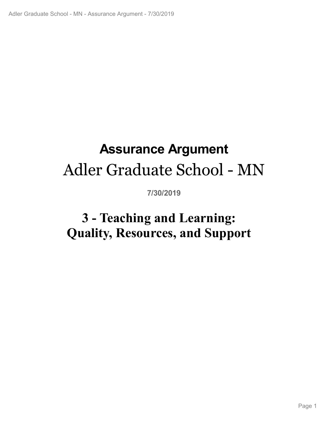# **Assurance Argument** Adler Graduate School - MN

**7/30/2019**

# **3 - Teaching and Learning:<br>|ality, Resources, and Support<br>|<br>|-Quality, Resources, and Support**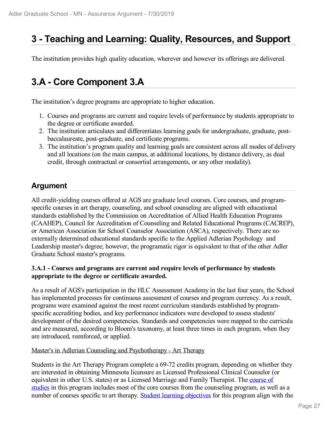# **3 - Teaching and Learning: Quality, Resources, and Support**

The institution provides high quality education, wherever and however its offerings are delivered.

# **3.A - Core Component 3.A**

The institution's degree programs are appropriate to higher education.

- 1. Courses and programs are current and require levels of performance by students appropriate to the degree or certificate awarded.
- 2. The institution articulates and differentiates learning goals for undergraduate, graduate, postbaccalaureate, post-graduate, and certificate programs.
- 3. The institution's program quality and learning goals are consistent across all modes of delivery and all locations (on the main campus, at additional locations, by distance delivery, as dual credit, through contractual or consortial arrangements, or any other modality).

### **Argument**

All credit-yielding courses offered at AGS are graduate level courses. Core courses, and programspecific courses in art therapy, counseling, and school counseling are aligned with educational standards established by the Commission on Accreditation of Allied Health Education Programs (CAAHEP), Council for Accreditation of Counseling and Related Educational Programs (CACREP), or American Association for School Counselor Association (ASCA), respectively. There are no externally determined educational standards specific to the Applied Adlerian Psychology and Leadership master's degree; however, the programatic rigor is equivalent to that of the other Adler Graduate School master's programs.

### **3.A.1 - Courses and programs are current and require levels of performance by students appropriate to the degree or certificate awarded.**

As a result of AGS's participation in the HLC Assessment Academy in the last four years, the School has implemented processes for continuous assessment of courses and program currency. As a result, programs were examined against the most recent curriculum standards established by programspecific accrediting bodies, and key performance indicators were developed to assess students' development of the desired competencies. Standards and competencies were mapped to the curricula and are measured, according to Bloom's taxonomy, at least three times in each program, when they are introduced, reenforced, or applied.

### Master's in Adlerian Counseling and Psychotherapy - Art Therapy

Students in the Art Therapy Program complete a 69-72 credits program, depending on whether they are interested in obtaining Minnesota licensure as Licensed Professional Clinical Counselor (or equivalent in other U.S. states) or as Licensed Marriage and Family Therapist. The course of studies in this program includes most of the core courses from the counseling program, as well as a number of courses specific to art therapy. Student learning objectives for this program align with the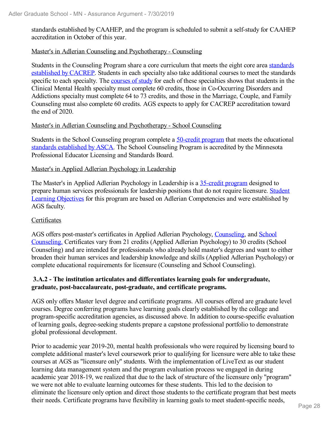standards established by CAAHEP, and the program is scheduled to submit a self-study for CAAHEP accreditation in October of this year.

### Master's in Adlerian Counseling and Psychotherapy - Counseling

Students in the Counseling Program share a core curriculum that meets the eight core area standards established by CACREP. Students in each specialty also take additional courses to meet the standards specific to each specialty. The courses of study for each of these specialties shows that students in the Clinical Mental Health specialty must complete 60 credits, those in Co-Occurring Disorders and Addictions specialty must complete 64 to 73 credits, and those in the Marriage, Couple, and Family Counseling must also complete 60 credits. AGS expects to apply for CACREP accreditation toward the end of 2020.

### Master's in Adlerian Counseling and Psychotherapy - School Counseling

Students in the School Counseling program complete a 50-credit program that meets the educational standards established by ASCA. The School Counseling Program is accredited by the Minnesota Professional Educator Licensing and Standards Board.

### Master's in Applied Adlerian Psychology in Leadership

The Master's in Applied Adlerian Psychology in Leadership is a 35-credit program designed to prepare human services professionals for leadership positions that do not require licensure. Student Learning Objectives for this program are based on Adlerian Competencies and were established by AGS faculty.

### Certificates

AGS offers post-master's certificates in Applied Adlerian Psychology, Counseling, and School Counseling. Certificates vary from 21 credits (Applied Adlerian Psychology) to 30 credits (School Counseling) and are intended for professionals who already hold master's degrees and want to either broaden their human services and leadership knowledge and skills (Applied Adlerian Psychology) or complete educational requirements for licensure (Counseling and School Counseling).

### **3.A.2 - The institution articulates and differentiates learning goals for undergraduate, graduate, post-baccalaureate, post-graduate, and certificate programs.**

AGS only offers Master level degree and certificate programs. All courses offered are graduate level courses. Degree conferring programs have learning goals clearly established by the college and program-specific accreditation agencies, as discussed above. In addition to course-specific evaluation of learning goals, degree-seeking students prepare a capstone professional portfolio to demonstrate global professional development.

Prior to academic year 2019-20, mental health professionals who were required by licensing board to complete additional master's level coursework prior to qualifying for licensure were able to take these courses at AGS as "licensure only" students. With the implementation of LiveText as our student learning data management system and the program evaluation process we engaged in during academic year 2018-19, we realized that due to the lack of structure of the licensure only "program" we were not able to evaluate learning outcomes for these students. This led to the decision to eliminate the licensure only option and direct those students to the certificate program that best meets their needs. Certificate programs have flexibility in learning goals to meet student-specific needs,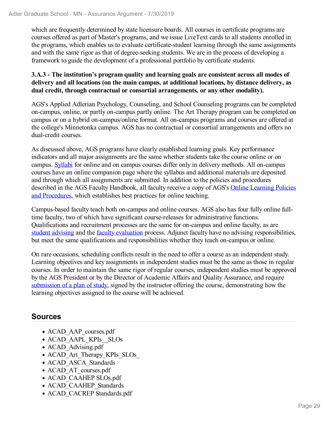which are frequently determined by state licensure boards. All courses in certificate programs are courses offered as part of Master's programs, and we issue LiveText cards to all students enrolled in the programs, which enables us to evaluate certificate-student learning through the same assignments and with the same rigor as that of degree-seeking students. We are in the process of developing a framework to guide the development of a professional portfolio by certificate students.

### **3.A.3 - The institution's program quality and learning goals are consistent across all modes of delivery and all locations (on the main campus, at additional locations, by distance delivery, as dual credit, through contractual or consortial arrangements, or any other modality).**

AGS's Applied Adlerian Psychology, Counseling, and School Counseling programs can be completed on-campus, online, or partly on-campus partly online. The Art Therapy program can be completed on campus or on a hybrid on-campus/online format. All on-campus programs and courses are offered at the college's Minnetonka campus. AGS has no contractual or consortial arrangements and offers no dual-credit courses.

As discussed above, AGS programs have clearly established learning goals. Key performance indicators and all major assignments are the same whether students take the course online or on campus. Syllabi for online and on campus courses differ only in delivery methods. All on-campus courses have an online companion page where the syllabus and additional materials are deposited and through which all assignments are submitted. In addition to the policies and procedures described in the AGS Faculty Handbook, all faculty receive a copy of AGS's Online Learning Policies and Procedures, which establishes best practices for online teaching.

Campus-based faculty teach both on-campus and online courses. AGS also has four fully online fulltime faculty, two of which have significant course-releases for administrative functions. Qualifications and recruitment processes are the same for on-campus and online faculty, as are student advising and the faculty evaluation process. Adjunct faculty have no advising responsibilities, but meet the same qualifications and responsibilities whether they teach on-campus or online.

On rare occasions, scheduling conflicts result in the need to offer a course as an independent study. Learning objectives and key assignments in independent studies must be the same as those in regular courses. In order to maintain the same rigor of regular courses, independent studies must be approved by the AGS President or by the Director of Academic Affairs and Quality Assurance, and require submission of a plan of study, signed by the instructor offering the course, demonstrating how the learning objectives assigned to the course will be achieved.

- ACAD AAP courses.pdf
- ACAD AAPL KPIs SLOs
- ACAD Advising.pdf
- ACAD Art Therapy KPIs SLOs
- ACAD ASCA Standards
- ACAD AT courses.pdf
- ACAD CAAHEP SLOs.pdf
- ACAD\_CAAHEP\_Standards
- ACAD CACREP Standards.pdf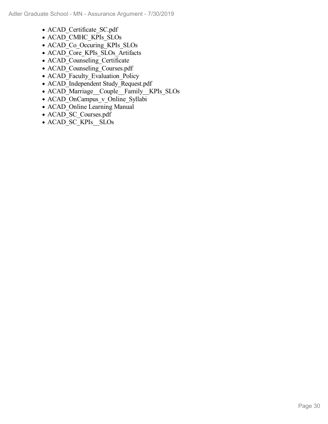- ACAD Certificate SC.pdf
- ACAD\_CMHC\_KPIs\_SLOs
- ACAD\_Co\_Occuring\_KPIs\_SLOs
- ACAD Core KPIs SLOs Artifacts
- ACAD\_Counseling\_Certificate
- ACAD Counseling Courses.pdf
- ACAD\_Faculty\_Evaluation\_Policy
- ACAD\_Independent Study\_Request.pdf
- ACAD Marriage Couple Family KPIs SLOs
- ACAD\_OnCampus\_v\_Online\_Syllabi
- ACAD\_Online Learning Manual
- ACAD\_SC\_Courses.pdf
- ACAD\_SC\_KPIs \_SLOs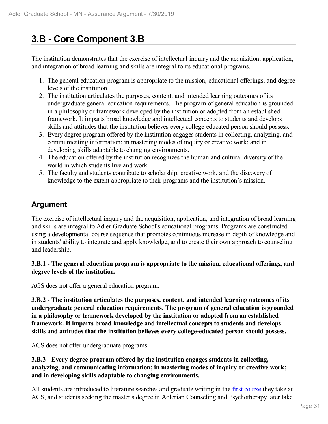# **3.B - Core Component 3.B**

The institution demonstrates that the exercise of intellectual inquiry and the acquisition, application, and integration of broad learning and skills are integral to its educational programs.

- 1. The general education program is appropriate to the mission, educational offerings, and degree levels of the institution.
- 2. The institution articulates the purposes, content, and intended learning outcomes of its undergraduate general education requirements. The program of general education is grounded in a philosophy or framework developed by the institution or adopted from an established framework. It imparts broad knowledge and intellectual concepts to students and develops skills and attitudes that the institution believes every college-educated person should possess.
- 3. Every degree program offered by the institution engages students in collecting, analyzing, and communicating information; in mastering modes of inquiry or creative work; and in developing skills adaptable to changing environments.
- 4. The education offered by the institution recognizes the human and cultural diversity of the world in which students live and work.
- 5. The faculty and students contribute to scholarship, creative work, and the discovery of knowledge to the extent appropriate to their programs and the institution's mission.

## **Argument**

The exercise of intellectual inquiry and the acquisition, application, and integration of broad learning and skills are integral to Adler Graduate School's educational programs. Programs are constructed using a developmental course sequence that promotes continuous increase in depth of knowledge and in students' ability to integrate and apply knowledge, and to create their own approach to counseling and leadership.

### **3.B.1 - The general education program is appropriate to the mission, educational offerings, and degree levels of the institution.**

AGS does not offer a general education program.

**3.B.2 - The institution articulates the purposes, content, and intended learning outcomes of its undergraduate general education requirements. The program of general education is grounded in a philosophy or framework developed by the institution or adopted from an established framework. It imparts broad knowledge and intellectual concepts to students and develops skills and attitudes that the institution believes every college-educated person should possess.**

AGS does not offer undergraduate programs.

**3.B.3 - Every degree program offered by the institution engages students in collecting, analyzing, and communicating information; in mastering modes of inquiry or creative work; and in developing skills adaptable to changing environments.**

All students are introduced to literature searches and graduate writing in the first course they take at AGS, and students seeking the master's degree in Adlerian Counseling and Psychotherapy later take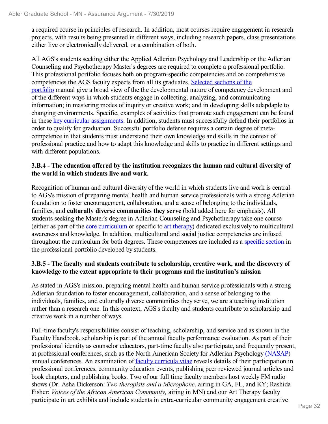a required course in principles of research. In addition, most courses require engagement in research projects, with results being presented in different ways, including research papers, class presentations either live or electronically delivered, or a combination of both.

All AGS's students seeking either the Applied Adlerian Psychology and Leadership or the Adlerian Counseling and Psychotherapy Master's degrees are required to complete a professional portfolio. This professional portfolio focuses both on program-specific competencies and on comprehensive competencies the AGS faculty expects from all its graduates. Selected sections of the portfolio manual give a broad view of the the developmental nature of competency development and of the different ways in which students engage in collecting, analyzing, and communicating information; in mastering modes of inquiry or creative work; and in developing skills adapdaple to changing environments. Specific, examples of activities that promote such engagement can be found in these key curricular assignments. In addition, students must successfully defend their portfolios in order to qualify for graduation. Successful portfolio defense requires a certain degree of metacompetence in that students must understand their own knowledge and skills in the context of professional practice and how to adapt this knowledge and skills to practice in different settings and with different populations.

### **3.B.4 - The education offered by the institution recognizes the human and cultural diversity of the world in which students live and work.**

Recognition of human and cultural diversity of the world in which students live and work is central to AGS's mission of preparing mental health and human service professionals with a strong Adlerian foundation to foster encouragement, collaboration, and a sense of belonging to the individuals, families, and **culturally diverse communities they serve** (bold added here for emphasis). All students seeking the Master's degree in Adlerian Counseling and Psychotherapy take one course (either as part of the core curriculum or specific to art therapy) dedicated exclusively to multicultural awareness and knowledge. In addition, multicultural and social justice competencies are infused throughout the curriculum for both degrees. These competences are included as a specific section in the professional portfolio developed by students.

### **3.B.5 - The faculty and students contribute to scholarship, creative work, and the discovery of knowledge to the extent appropriate to their programs and the institution's mission**

As stated in AGS's mission, preparing mental health and human service professionals with a strong Adlerian foundation to foster encouragement, collaboration, and a sense of belonging to the individuals, families, and culturally diverse communities they serve, we are a teaching institution rather than a research one. In this context, AGS's faculty and students contribute to scholarship and creative work in a number of ways.

Full-time faculty's responsibilities consist of teaching, scholarship, and service and as shown in the Faculty Handbook, scholarship is part of the annual faculty performance evaluation. As part of their professional identity as counselor educators, part-time faculty also participate, and frequently present, at professional conferences, such as the North American Society for Adlerian Psychology (NASAP) annual conferences. An examination of faculty curricula vitae reveals details of their participation in professional conferences, community education events, publishing peer reviewed journal articles and book chapters, and publishing books. Two of our full time faculty members host weekly FM radio shows (Dr. Asha Dickerson: *Two therapists and a Microphone*, airing in GA, FL, and KY; Rashida Fisher: *Voices of the African American Community,* airing in MN) and our Art Therapy faculty participate in art exhibits and include students in extra-curricular community engagement creative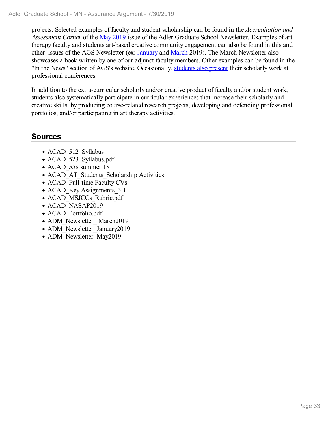projects. Selected examples of faculty and student scholarship can be found in the *Accreditation and Assessment Corner* of the May 2019 issue of the Adler Graduate School Newsletter. Examples of art therapy faculty and students art-based creative community engagement can also be found in this and other issues of the AGS Newsletter (ex: January and March 2019). The March Newsletter also showcases a book written by one of our adjunct faculty members. Other examples can be found in the "In the News" section of AGS's website, Occasionally, students also present their scholarly work at professional conferences.

In addition to the extra-curricular scholarly and/or creative product of faculty and/or student work, students also systematically participate in curricular experiences that increase their scholarly and creative skills, by producing course-related research projects, developing and defending professional portfolios, and/or participating in art therapy activities.

- ACAD 512 Syllabus
- ACAD\_523\_Syllabus.pdf
- ACAD 558 summer 18
- ACAD AT Students Scholarship Activities
- ACAD Full-time Faculty CVs
- ACAD Key Assignments 3B
- ACAD MSJCCs Rubric.pdf
- ACAD NASAP2019
- ACAD\_Portfolio.pdf
- ADM\_Newsletter\_ March2019
- ADM\_Newsletter\_January2019
- ADM\_Newsletter\_May2019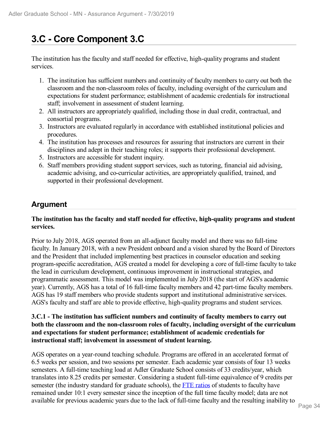# **3.C - Core Component 3.C**

The institution has the faculty and staff needed for effective, high-quality programs and student services.

- 1. The institution has sufficient numbers and continuity of faculty members to carry out both the classroom and the non-classroom roles of faculty, including oversight of the curriculum and expectations for student performance; establishment of academic credentials for instructional staff; involvement in assessment of student learning.
- 2. All instructors are appropriately qualified, including those in dual credit, contractual, and consortial programs.
- 3. Instructors are evaluated regularly in accordance with established institutional policies and procedures.
- 4. The institution has processes and resources for assuring that instructors are current in their disciplines and adept in their teaching roles; it supports their professional development.
- 5. Instructors are accessible for student inquiry.
- 6. Staff members providing student support services, such as tutoring, financial aid advising, academic advising, and co-curricular activities, are appropriately qualified, trained, and supported in their professional development.

### **Argument**

### **The institution has the faculty and staff needed for effective, high-quality programs and student services.**

Prior to July 2018, AGS operated from an all-adjunct faculty model and there was no full-time faculty. In January 2018, with a new President onboard and a vision shared by the Board of Directors and the President that included implementing best practices in counselor education and seeking program-specific accreditation, AGS created a model for developing a core of full-time faculty to take the lead in curriculum development, continuous improvement in instructional strategies, and programmatic assessment. This model was implemented in July 2018 (the start of AGS's academic year). Currently, AGS has a total of 16 full-time faculty members and 42 part-time faculty members. AGS has 19 staff members who provide students support and institutional administrative services. AGS's faculty and staff are able to provide effective, high-quality programs and student services.

### **3.C.1 - The institution has sufficient numbers and continuity of faculty members to carry out both the classroom and the non-classroom roles of faculty, including oversight of the curriculum and expectations for student performance; establishment of academic credentials for instructional staff; involvement in assessment of student learning.**

AGS operates on a year-round teaching schedule. Programs are offered in an accelerated format of 6.5 weeks per session, and two sessions per semester. Each academic year consists of four 13 weeks semesters. A full-time teaching load at Adler Graduate School consists of 33 credits/year, which translates into 8.25 credits per semester. Considering a student full-time equivalence of 9 credits per semester (the industry standard for graduate schools), the FTE ratios of students to faculty have remained under 10:1 every semester since the inception of the full time faculty model; data are not available for previous academic years due to the lack of full-time faculty and the resulting inability to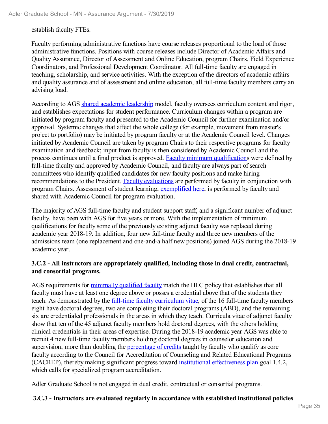establish faculty FTEs.

Faculty performing administrative functions have course releases proportional to the load of those administrative functions. Positions with course releases include Director of Academic Affairs and Quality Assurance, Director of Assessment and Online Education, program Chairs, Field Experience Coordinators, and Professional Development Coordinator. All full-time faculty are engaged in teaching, scholarship, and service activities. With the exception of the directors of academic affairs and quality assurance and of assessment and online education, all full-time faculty members carry an advising load.

According to AGS shared academic leadership model, faculty oversees curriculum content and rigor, and establishes expectations for student performance. Curriculum changes within a program are initiated by program faculty and presented to the Academic Council for further examination and/or approval. Systemic changes that affect the whole college (for example, movement from master's project to portfolio) may be initiated by program faculty or at the Academic Council level. Changes initiated by Academic Council are taken by program Chairs to their respective programs for faculty examination and feedback; input from faculty is then considered by Academic Council and the process continues until a final product is approved. Faculty minimum qualifications were defined by full-time faculty and approved by Academic Council, and faculty are always part of search committees who identify qualified candidates for new faculty positions and make hiring recommendations to the President. Faculty evaluations are performed by faculty in conjunction with program Chairs. Assessment of student learning, exemplified here, is performed by faculty and shared with Academic Council for program evaluation.

The majority of AGS full-time faculty and student support staff, and a significant number of adjunct faculty, have been with AGS for five years or more. With the implementation of minimum qualifications for faculty some of the previously existing adjunct faculty was replaced during academic year 2018-19. In addition, four new full-time faculty and three new members of the admissions team (one replacement and one-and-a half new positions) joined AGS during the 2018-19 academic year.

### **3.C.2 - All instructors are appropriately qualified, including those in dual credit, contractual, and consortial programs.**

AGS requirements for minimally qualified faculty match the HLC policy that establishes that all faculty must have at least one degree above or posses a credential above that of the students they teach. As demonstrated by the full-time faculty curriculum vitae, of the 16 full-time faculty members eight have doctoral degrees, two are completing their doctoral programs (ABD), and the remaining six are credentialed professionals in the areas in which they teach. Curricula vitae of adjunct faculty show that ten of the 45 adjunct faculty members hold doctoral degrees, with the others holding clinical credentials in their areas of expertise. During the 2018-19 academic year AGS was able to recruit 4 new full-time faculty members holding doctoral degrees in counselor education and supervision, more than doubling the percentage of credits taught by faculty who qualify as core faculty according to the Council for Accreditation of Counseling and Related Educational Programs (CACREP), thereby making significant progress toward institutional effectiveness plan goal 1.4.2, which calls for specialized program accreditation.

Adler Graduate School is not engaged in dual credit, contractual or consortial programs.

### **3.C.3 - Instructors are evaluated regularly in accordance with established institutional policies**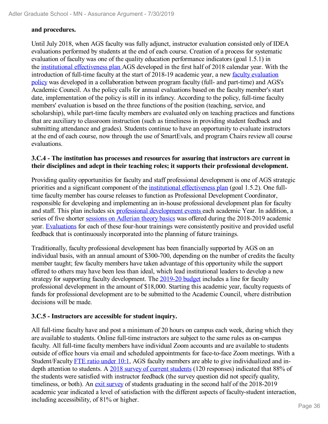### **and procedures.**

Until July 2018, when AGS faculty was fully adjunct, instructor evaluation consisted only of IDEA evaluations performed by students at the end of each course. Creation of a process for systematic evaluation of faculty was one of the quality education performance indicators (goal 1.5.1) in the institutional effectiveness plan AGS developed in the first half of 2018 calendar year. With the introduction of full-time faculty at the start of 2018-19 academic year, a new faculty evaluation policy was developed in a collaboration between program faculty (full- and part-time) and AGS's Academic Council. As the policy calls for annual evaluations based on the faculty member's start date, implementation of the policy is still in its infancy. According to the policy, full-time faculty members' evaluation is based on the three functions of the position (teaching, service, and scholarship), while part-time faculty members are evaluated only on teaching practices and functions that are auxiliary to classroom instruction (such as timeliness in providing student feedback and submitting attendance and grades). Students continue to have an opportunity to evaluate instructors at the end of each course, now through the use of SmartEvals, and program Chairs review all course evaluations.

### **3.C.4 - The institution has processes and resources for assuring that instructors are current in their disciplines and adept in their teaching roles; it supports their professional development.**

Providing quality opportunities for faculty and staff professional development is one of AGS strategic priorities and a significant component of the institutional effectiveness plan (goal 1.5.2). One fulltime faculty member has course releases to function as Professional Development Coordinator, responsible for developing and implementing an in-house professional development plan for faculty and staff. This plan includes six professional development events each academic Year. In addition, a series of five shorter sessions on Adlerian theory basics was offered during the 2018-2019 academic year. Evaluations for each of these four-hour trainings were consistently positive and provided useful feedback that is continuously incorporated into the planning of future trainings.

Traditionally, faculty professional development has been financially supported by AGS on an individual basis, with an annual amount of \$300-700, depending on the number of credits the faculty member taught; few faculty members have taken advantage of this opportunity while the support offered to others may have been less than ideal, which lead institutional leaders to develop a new strategy for supporting faculty development. The 2019-20 budget includes a line for faculty professional development in the amount of \$18,000. Starting this academic year, faculty requests of funds for professional development are to be submitted to the Academic Council, where distribution decisions will be made.

### **3.C.5 - Instructors are accessible for student inquiry.**

All full-time faculty have and post a minimum of 20 hours on campus each week, during which they are available to students. Online full-time instructors are subject to the same rules as on-campus faculty. All full-time faculty members have individual Zoom accounts and are available to students outside of office hours via email and scheduled appointments for face-to-face Zoom meetings. With a Student/Faculty FTE ratio under 10:1, AGS faculty members are able to give individualized and indepth attention to students. A 2018 survey of current students (120 responses) indicated that 88% of the students were satisfied with instructor feedback (the survey question did not specify quality, timeliness, or both). An exit survey of students graduating in the second half of the 2018-2019 academic year indicated a level of satisfaction with the different aspects of faculty-student interaction, including accessibility, of 81% or higher.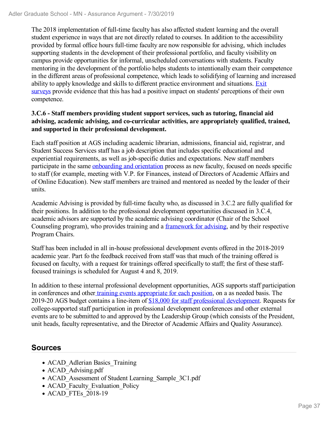The 2018 implementation of full-time faculty has also affected student learning and the overall student experience in ways that are not directly related to courses. In addition to the accessibility provided by formal office hours full-time faculty are now responsible for advising, which includes supporting students in the development of their professional portfolio, and faculty visibility on campus provide opportunities for informal, unscheduled conversations with students. Faculty mentoring in the development of the portfolio helps students to intentionally exam their competence in the different areas of professional competence, which leads to solidifying of learning and increased ability to apply knowledge and skills to different practice environment and situations. Exit surveys provide evidence that this has had a positive impact on students' perceptions of their own competence.

### **3.C.6 - Staff members providing student support services, such as tutoring, financial aid advising, academic advising, and co-curricular activities, are appropriately qualified, trained, and supported in their professional development.**

Each staff position at AGS including academic librarian, admissions, financial aid, registrar, and Student Success Services staff has a job description that includes specific educational and experiential requirements, as well as job-specific duties and expectations. New staff members participate in the same onboarding and orientation process as new faculty, focused on needs specific to staff (for example, meeting with V.P. for Finances, instead of Directors of Academic Affairs and of Online Education). New staff members are trained and mentored as needed by the leader of their units.

Academic Advising is provided by full-time faculty who, as discussed in 3.C.2 are fully qualified for their positions. In addition to the professional development opportunities discussed in 3.C.4, academic advisors are supported by the academic advising coordinator (Chair of the School Counseling program), who provides training and a framework for advising, and by their respective Program Chairs.

Staff has been included in all in-house professional development events offered in the 2018-2019 academic year. Part fo the feedback received from staff was that much of the training offered is focused on faculty, with a request for trainings offered specifically to staff; the first of these stafffocused trainings is scheduled for August 4 and 8, 2019.

In addition to these internal professional development opportunities, AGS supports staff participation in conferences and other training events appropriate for each position, on a as needed basis. The 2019-20 AGS budget contains a line-item of \$18,000 for staff professional development. Requests for college-supported staff participation in professional development conferences and other external events are to be submitted to and approved by the Leadership Group (which consists of the President, unit heads, faculty representative, and the Director of Academic Affairs and Quality Assurance).

- ACAD Adlerian Basics Training
- ACAD Advising.pdf
- ACAD Assessment of Student Learning Sample 3C1.pdf
- ACAD Faculty Evaluation Policy
- ACAD FTEs 2018-19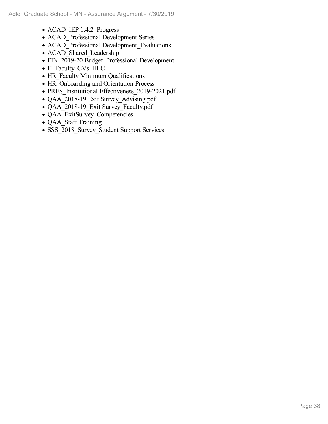- ACAD IEP 1.4.2 Progress
- ACAD Professional Development Series
- ACAD\_Professional Development\_Evaluations
- ACAD Shared Leadership
- FIN\_2019-20 Budget\_Professional Development
- FTFaculty CVs HLC
- HR\_Faculty Minimum Qualifications
- HR Onboarding and Orientation Process
- PRES Institutional Effectiveness 2019-2021.pdf
- QAA\_2018-19 Exit Survey\_Advising.pdf
- QAA\_2018-19\_Exit Survey\_Faculty.pdf
- QAA ExitSurvey Competencies
- QAA Staff Training
- SSS\_2018\_Survey\_Student Support Services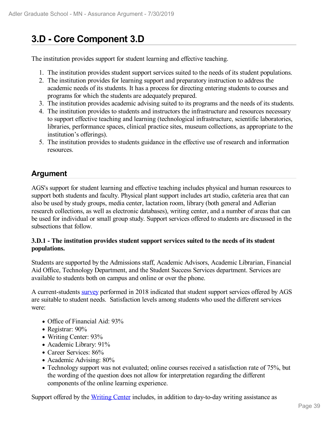# **3.D - Core Component 3.D**

The institution provides support for student learning and effective teaching.

- 1. The institution provides student support services suited to the needs of its student populations.
- 2. The institution provides for learning support and preparatory instruction to address the academic needs of its students. It has a process for directing entering students to courses and programs for which the students are adequately prepared.
- 3. The institution provides academic advising suited to its programs and the needs of its students.
- 4. The institution provides to students and instructors the infrastructure and resources necessary to support effective teaching and learning (technological infrastructure, scientific laboratories, libraries, performance spaces, clinical practice sites, museum collections, as appropriate to the institution's offerings).
- 5. The institution provides to students guidance in the effective use of research and information resources.

### **Argument**

AGS's support for student learning and effective teaching includes physical and human resources to support both students and faculty. Physical plant support includes art studio, cafeteria area that can also be used by study groups, media center, lactation room, library (both general and Adlerian research collections, as well as electronic databases), writing center, and a number of areas that can be used for individual or small group study. Support services offered to students are discussed in the subsections that follow.

### **3.D.1 - The institution provides student support services suited to the needs of its student populations.**

Students are supported by the Admissions staff, Academic Advisors, Academic Librarian, Financial Aid Office, Technology Department, and the Student Success Services department. Services are available to students both on campus and online or over the phone.

A current-students survey performed in 2018 indicated that student support services offered by AGS are suitable to student needs. Satisfaction levels among students who used the different services were:

- Office of Financial Aid: 93%
- Registrar: 90%
- Writing Center: 93%
- Academic Library: 91%
- Career Services: 86%
- Academic Advising: 80%
- Technology support was not evaluated; online courses received a satisfaction rate of 75%, but the wording of the question does not allow for interpretation regarding the different components of the online learning experience.

Support offered by the Writing Center includes, in addition to day-to-day writing assistance as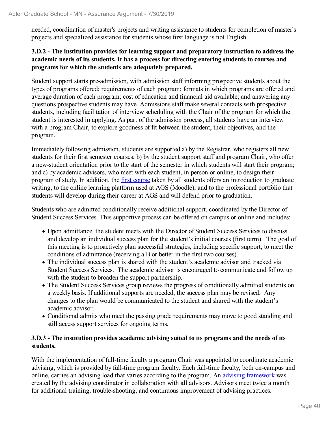needed, coordination of master's projects and writing assistance to students for completion of master's projects and specialized assistance for students whose first language is not English.

### **3.D.2 - The institution provides for learning support and preparatory instruction to address the academic needs of its students. It has a process for directing entering students to courses and programs for which the students are adequately prepared.**

Student support starts pre-admission, with admission staff informing prospective students about the types of programs offered; requirements of each program; formats in which programs are offered and average duration of each program; cost of education and financial aid available; and answering any questions prospective students may have. Admissions staff make several contacts with prospective students, including facilitation of interview scheduling with the Chair of the program for which the student is interested in applying. As part of the admission process, all students have an interview with a program Chair, to explore goodness of fit between the student, their objectives, and the program.

Immediately following admission, students are supported a) by the Registrar, who registers all new students for their first semester courses; b) by the student support staff and program Chair, who offer a new-student orientation prior to the start of the semester in which students will start their program; and c) by academic advisors, who meet with each student, in person or online, to design their program of study. In addition, the first course taken by all students offers an introduction to graduate writing, to the online learning platform used at AGS (Moodle), and to the professional portfolio that students will develop during their career at AGS and will defend prior to graduation.

Students who are admitted conditionally receive additional support, coordinated by the Director of Student Success Services. This supportive process can be offered on campus or online and includes:

- Upon admittance, the student meets with the Director of Student Success Services to discuss and develop an individual success plan for the student's initial courses (first term). The goal of this meeting is to proactively plan successful strategies, including specific support, to meet the conditions of admittance (receiving a B or better in the first two courses).
- The individual success plan is shared with the student's academic advisor and tracked via Student Success Services. The academic advisor is encouraged to communicate and follow up with the student to broaden the support partnership.
- The Student Success Services group reviews the progress of conditionally admitted students on a weekly basis. If additional supports are needed, the success plan may be revised. Any changes to the plan would be communicated to the student and shared with the student's academic advisor.
- Conditional admits who meet the passing grade requirements may move to good standing and still access support services for ongoing terms.

### **3.D.3 - The institution provides academic advising suited to its programs and the needs of its students.**

With the implementation of full-time faculty a program Chair was appointed to coordinate academic advising, which is provided by full-time program faculty. Each full-time faculty, both on-campus and online, carries an advising load that varies according to the program. An advising framework was created by the advising coordinator in collaboration with all advisors. Advisors meet twice a month for additional training, trouble-shooting, and continuous improvement of advising practices.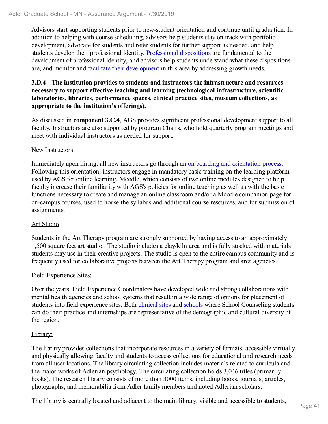Advisors start supporting students prior to new-student orientation and continue until graduation. In addition to helping with course scheduling, advisors help students stay on track with portfolio development, advocate for students and refer students for further support as needed, and help students develop their professional identity. Professional dispositions are fundamental to the development of professional identity, and advisors help students understand what these dispositions are, and monitor and facilitate their development in this area by addressing growth needs.

### **3.D.4 - The institution provides to students and instructors the infrastructure and resources necessary to support effective teaching and learning (technological infrastructure, scientific laboratories, libraries, performance spaces, clinical practice sites, museum collections, as appropriate to the institution's offerings).**

As discussed in **component 3.C.4**, AGS provides significant professional development support to all faculty. Instructors are also supported by program Chairs, who hold quarterly program meetings and meet with individual instructors as needed for support.

### New Instructors

Immediately upon hiring, all new instructors go through an on boarding and orientation process. Following this orientation, instructors engage in mandatory basic training on the learning platform used by AGS for online learning, Moodle, which consists of two online modules designed to help faculty increase their familiarity with AGS's policies for online teaching as well as with the basic functions necessary to create and manage an online classroom and/or a Moodle companion page for on-campus courses, used to house the syllabus and additional course resources, and for submission of assignments.

### Art Studio

Students in the Art Therapy program are strongly supported by having access to an approximately 1,500 square feet art studio. The studio includes a clay/kiln area and is fully stocked with materials students may use in their creative projects. The studio is open to the entire campus community and is frequently used for collaborative projects between the Art Therapy program and area agencies.

### Field Experience Sites:

Over the years, Field Experience Coordinators have developed wide and strong collaborations with mental health agencies and school systems that result in a wide range of options for placement of students into field experience sites. Both *clinical sites* and *schools* where School Counseling students can do their practice and internships are representative of the demographic and cultural diversity of the region.

### Library:

The library provides collections that incorporate resources in a variety of formats, accessible virtually and physically allowing faculty and students to access collections for educational and research needs from all user locations. The library circulating collection includes materials related to curricula and the major works of Adlerian psychology. The circulating collection holds 3,046 titles (primarily books). The research library consists of more than 3000 items, including books, journals, articles, photographs, and memorabilia from Adler family members and noted Adlerian scholars.

The library is centrally located and adjacent to the main library, visible and accessible to students,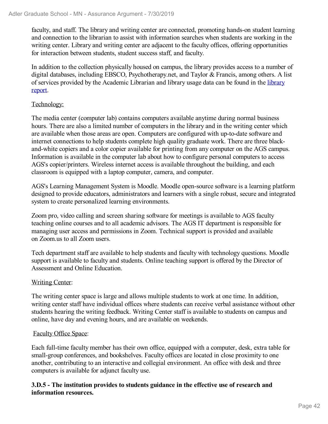faculty, and staff. The library and writing center are connected, promoting hands-on student learning and connection to the librarian to assist with information searches when students are working in the writing center. Library and writing center are adjacent to the faculty offices, offering opportunities for interaction between students, student success staff, and faculty.

In addition to the collection physically housed on campus, the library provides access to a number of digital databases, including EBSCO, Psychotherapy.net, and Taylor & Francis, among others. A list of services provided by the Academic Librarian and library usage data can be found in the library report.

### Technology:

The media center (computer lab) contains computers available anytime during normal business hours. There are also a limited number of computers in the library and in the writing center which are available when those areas are open. Computers are configured with up-to-date software and internet connections to help students complete high quality graduate work. There are three blackand-white copiers and a color copier available for printing from any computer on the AGS campus. Information is available in the computer lab about how to configure personal computers to access AGS's copier/printers. Wireless internet access is available throughout the building, and each classroom is equipped with a laptop computer, camera, and computer.

AGS's Learning Management System is Moodle. Moodle open-source software is a learning platform designed to provide educators, administrators and learners with a single robust, secure and integrated system to create personalized learning environments.

Zoom pro, video calling and screen sharing software for meetings is available to AGS faculty teaching online courses and to all academic advisors. The AGS IT department is responsible for managing user access and permissions in Zoom. Technical support is provided and available on Zoom.us to all Zoom users.

Tech department staff are available to help students and faculty with technology questions. Moodle support is available to faculty and students. Online teaching support is offered by the Director of Assessment and Online Education.

### Writing Center:

The writing center space is large and allows multiple students to work at one time. In addition, writing center staff have individual offices where students can receive verbal assistance without other students hearing the writing feedback. Writing Center staff is available to students on campus and online, have day and evening hours, and are available on weekends.

### Faculty Office Space:

Each full-time faculty member has their own office, equipped with a computer, desk, extra table for small-group conferences, and bookshelves. Faculty offices are located in close proximity to one another, contributing to an interactive and collegial environment. An office with desk and three computers is available for adjunct faculty use.

### **3.D.5 - The institution provides to students guidance in the effective use of research and information resources.**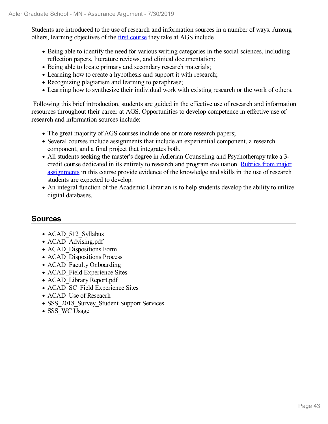Students are introduced to the use of research and information sources in a number of ways. Among others, learning objectives of the first course they take at AGS include

- Being able to identify the need for various writing categories in the social sciences, including reflection papers, literature reviews, and clinical documentation;
- Being able to locate primary and secondary research materials;
- Learning how to create a hypothesis and support it with research;
- Recognizing plagiarism and learning to paraphrase;
- Learning how to synthesize their individual work with existing research or the work of others.

Following this brief introduction, students are guided in the effective use of research and information resources throughout their career at AGS. Opportunities to develop competence in effective use of research and information sources include:

- The great majority of AGS courses include one or more research papers;
- Several courses include assignments that include an experiential component, a research component, and a final project that integrates both.
- All students seeking the master's degree in Adlerian Counseling and Psychotherapy take a 3 credit course dedicated in its entirety to research and program evaluation. Rubrics from major assignments in this course provide evidence of the knowledge and skills in the use of research students are expected to develop.
- An integral function of the Academic Librarian is to help students develop the ability to utilize digital databases.

- ACAD 512 Syllabus
- ACAD Advising.pdf
- ACAD Dispositions Form
- ACAD Dispositions Process
- ACAD Faculty Onboarding
- ACAD Field Experience Sites
- ACAD Library Report.pdf
- ACAD SC Field Experience Sites
- ACAD Use of Reseacrh
- SSS 2018 Survey\_Student Support Services
- SSS WC Usage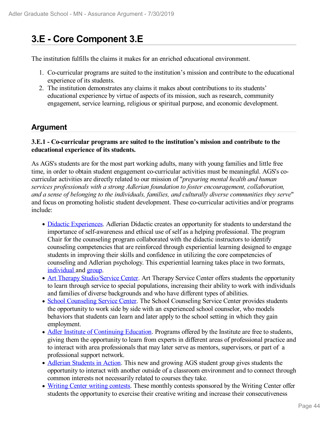# **3.E - Core Component 3.E**

The institution fulfills the claims it makes for an enriched educational environment.

- 1. Co-curricular programs are suited to the institution's mission and contribute to the educational experience of its students.
- 2. The institution demonstrates any claims it makes about contributions to its students' educational experience by virtue of aspects of its mission, such as research, community engagement, service learning, religious or spiritual purpose, and economic development.

### **Argument**

### **3.E.1 - Co-curricular programs are suited to the institution's mission and contribute to the educational experience of its students.**

As AGS's students are for the most part working adults, many with young families and little free time, in order to obtain student engagement co-curricular activities must be meaningful. AGS's cocurricular activities are directly related to our mission of "*preparing mental health and human services professionals with a strong Adlerian foundation to foster encouragement, collaboration, and a sense of belonging to the individuals, families, and culturally diverse communities they serve*" and focus on promoting holistic student development. These co-curricular activities and/or programs include:

- Didactic Experiences. Adlerian Didactic creates an opportunity for students to understand the importance of self-awareness and ethical use of self as a helping professional. The program Chair for the counseling program collaborated with the didactic instructors to identify counseling competencies that are reinforced through experiential learning designed to engage students in improving their skills and confidence in utilizing the core competencies of counseling and Adlerian psychology. This experiential learning takes place in two formats, individual and group.
- Art Therapy Studio/Service Center. Art Therapy Service Center offers students the opportunity to learn through service to special populations, increasing their ability to work with individuals and families of diverse backgrounds and who have different types of abilities.
- School Counseling Service Center. The School Counseling Service Center provides students the opportunity to work side by side with an experienced school counselor, who models behaviors that students can learn and later apply to the school setting in which they gain employment.
- Adler Institute of Continuing Education. Programs offered by the Institute are free to students, giving them the opportunity to learn from experts in different areas of professional practice and to interact with area professionals that may later serve as mentors, supervisors, or part of a professional support network.
- Adlerian Students in Action. This new and growing AGS student group gives students the opportunity to interact with another outside of a classroom environment and to connect through common interests not necessarily related to courses they take.
- Writing Center writing contests. These monthly contests sponsored by the Writing Center offer students the opportunity to exercise their creative writing and increase their consecutiveness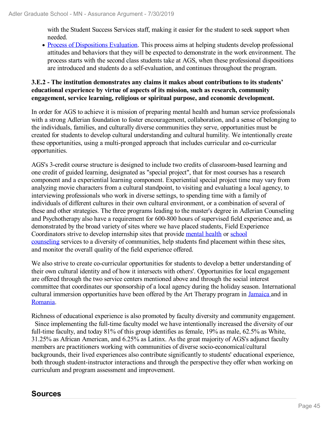with the Student Success Services staff, making it easier for the student to seek support when needed.

• Process of Dispositions Evaluation. This process aims at helping students develop professional attitudes and behaviors that they will be expected to demonstrate in the work environment. The process starts with the second class students take at AGS, when these professional dispositions are introduced and students do a self-evaluation, and continues throughout the program.

### **3.E.2 - The institution demonstrates any claims it makes about contributions to its students' educational experience by virtue of aspects of its mission, such as research, community engagement, service learning, religious or spiritual purpose, and economic development.**

In order for AGS to achieve it is mission of preparing mental health and human service professionals with a strong Adlerian foundation to foster encouragement, collaboration, and a sense of belonging to the individuals, families, and culturally diverse communities they serve, opportunities must be created for students to develop cultural understanding and cultural humility. We intentionally create these opportunities, using a multi-pronged approach that includes curricular and co-curricular opportunities.

AGS's 3-credit course structure is designed to include two credits of classroom-based learning and one credit of guided learning, designated as "special project", that for most courses has a research component and a experiential learning component. Experiential special project time may vary from analyzing movie characters from a cultural standpoint, to visiting and evaluating a local agency, to interviewing professionals who work in diverse settings, to spending time with a family of individuals of different cultures in their own cultural environment, or a combination of several of these and other strategies. The three programs leading to the master's degree in Adlerian Counseling and Psychotherapy also have a requirement for 600-800 hours of supervised field experience and, as demonstrated by the broad variety of sites where we have placed students, Field Experience Coordinators strive to develop internship sites that provide mental health or school counseling services to a diversity of communities, help students find placement within these sites, and monitor the overall quality of the field experience offered.

We also strive to create co-curricular opportunities for students to develop a better understanding of their own cultural identity and of how it intersects with others'. Opportunities for local engagement are offered through the two service centers mentioned above and through the social interest committee that coordinates our sponsorship of a local agency during the holiday season. International cultural immersion opportunities have been offered by the Art Therapy program in Jamaica and in Romania.

Richness of educational experience is also promoted by faculty diversity and community engagement. Since implementing the full-time faculty model we have intentionally increased the diversity of our full-time faculty, and today 81% of this group identifies as female, 19% as male, 62.5% as White, 31.25% as African American, and 6.25% as Latinx. As the great majority of AGS's adjunct faculty members are practitioners working with communities of diverse socio-economical/cultural backgrounds, their lived experiences also contribute significantly to students' educational experience, both through student-instructor interactions and through the perspective they offer when working on curriculum and program assessment and improvement.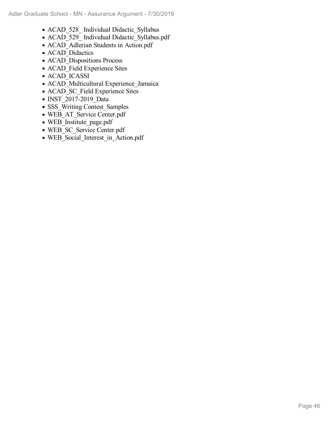- ACAD 528 Individual Didactic Syllabus
- ACAD\_529\_ Individual Didactic\_Syllabus.pdf
- ACAD\_Adlerian Students in Action.pdf
- ACAD Didactics
- ACAD Dispositions Process
- ACAD Field Experience Sites
- ACAD<sup>I</sup>CASSI
- ACAD\_Multicultural Experience\_Jamaica
- ACAD SC Field Experience Sites
- $\bullet$  INST 2017-2019 Data
- SSS Writing Contest Samples
- WEB AT Service Center.pdf
- WEB Institute page.pdf
- WEB SC\_Service Center.pdf
- WEB\_Social\_Interest\_in\_Action.pdf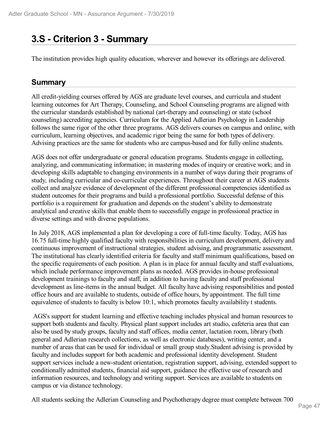# **3.S - Criterion 3 - Summary**

The institution provides high quality education, wherever and however its offerings are delivered.

### **Summary**

All credit-yielding courses offered by AGS are graduate level courses, and curricula and student learning outcomes for Art Therapy, Counseling, and School Counseling programs are aligned with the curricular standards established by national (art-therapy and counseling) or state (school counseling) accrediting agencies. Curriculum for the Applied Adlerian Psychology in Leadership follows the same rigor of the other three programs. AGS delivers courses on campus and online, with curriculum, learning objectives, and academic rigor being the same for both types of delivery. Advising practices are the same for students who are campus-based and for fully online students.

AGS does not offer undergraduate or general education programs. Students engage in collecting, analyzing, and communicating information; in mastering modes of inquiry or creative work; and in developing skills adaptable to changing environments in a number of ways during their programs of study, including curricular and co-curricular experiences. Throughout their career at AGS students collect and analyze evidence of development of the different professional competencies identified as student outcomes for their programs and build a professional portfolio. Successful defense of this portfolio is a requirement for graduation and depends on the student's ability to demonstrate analytical and creative skills that enable them to successfully engage in professional practice in diverse settings and with diverse populations.

In July 2018, AGS implemented a plan for developing a core of full-time faculty. Today, AGS has 16.75 full-time highly qualified faculty with responsibilities in curriculum development, delivery and continuous improvement of instructional strategies, student advising, and programmatic assessment. The institutional has clearly identified criteria for faculty and staff minimum qualifications, based on the specific requirements of each position. A plan is in place for annual faculty and staff evaluations, which include performance improvement plans as needed. AGS provides in-house professional development trainings to faculty and staff, in addition to having faculty and staff professional development as line-items in the annual budget. All faculty have advising responsibilities and posted office hours and are available to students, outside of office hours, by appointment. The full time equivalence of students to faculty is below 10:1, which promotes faculty availability t students.

AGS's support for student learning and effective teaching includes physical and human resources to support both students and faculty. Physical plant support includes art studio, cafeteria area that can also be used by study groups, faculty and staff offices, media center, lactation room, library (both general and Adlerian research collections, as well as electronic databases), writing center, and a number of areas that can be used for individual or small group study.Student advising is provided by faculty and includes support for both academic and professional identity development. Student support services include a new-student orientation, registration support, advising, extended support to conditionally admitted students, financial aid support, guidance the effective use of research and information resources, and technology and writing support. Services are available to students on campus or via distance technology.

All students seeking the Adlerian Counseling and Psychotherapy degree must complete between 700